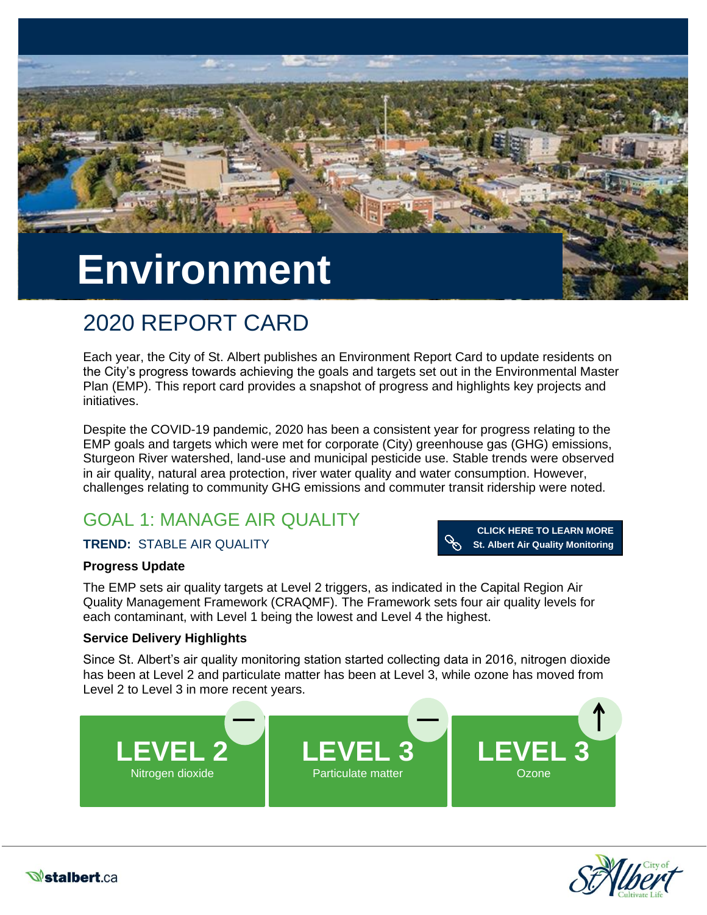

# 2020 REPORT CARD

Each year, the City of St. Albert publishes an Environment Report Card to update residents on the City's progress towards achieving the goals and targets set out in the Environmental Master Plan (EMP). This report card provides a snapshot of progress and highlights key projects and initiatives.

Despite the COVID-19 pandemic, 2020 has been a consistent year for progress relating to the EMP goals and targets which were met for corporate (City) greenhouse gas (GHG) emissions, Sturgeon River watershed, land-use and municipal pesticide use. Stable trends were observed in air quality, natural area protection, river water quality and water consumption. However, challenges relating to community GHG emissions and commuter transit ridership were noted.

# GOAL 1: MANAGE AIR QUALITY

#### **TREND:** STABLE AIR QUALITY

**CLICK HERE TO LEARN MORE [St. Albert Air Quality Monitoring](https://stalbert.ca/city/environment/air-quality/monitoring/)** 

#### **Progress Update**

The EMP sets air quality targets at Level 2 triggers, as indicated in the Capital Region Air Quality Management Framework (CRAQMF). The Framework sets four air quality levels for each contaminant, with Level 1 being the lowest and Level 4 the highest.

#### **Service Delivery Highlights**

Since St. Albert's air quality monitoring station started collecting data in 2016, nitrogen dioxide has been at Level 2 and particulate matter has been at Level 3, while ozone has moved from Level 2 to Level 3 in more recent years.





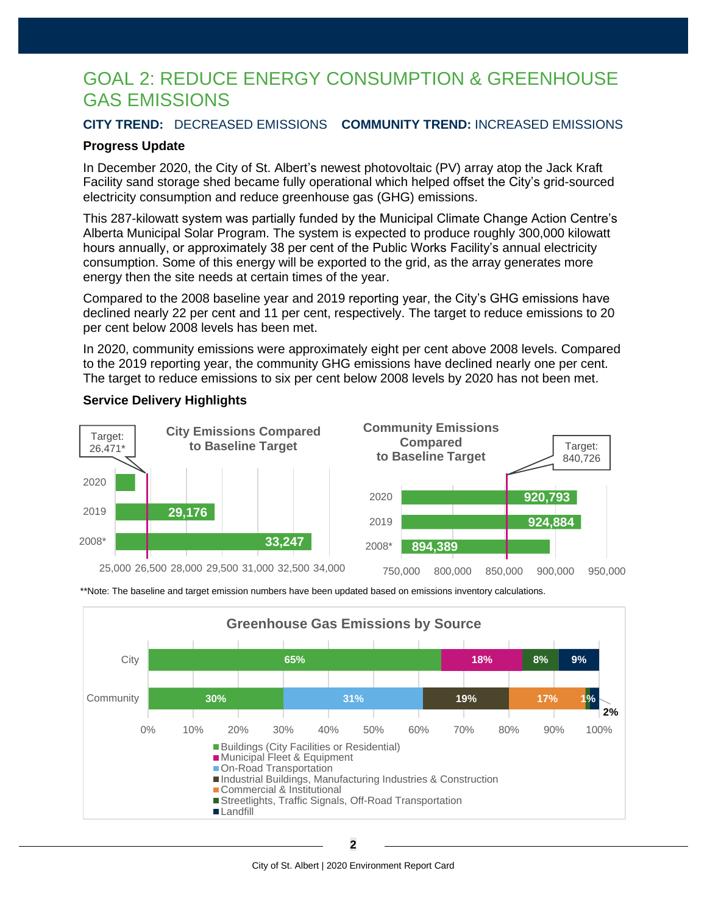### GOAL 2: REDUCE ENERGY CONSUMPTION & GREENHOUSE GAS EMISSIONS

#### **CITY TREND:** DECREASED EMISSIONS **COMMUNITY TREND:** INCREASED EMISSIONS

#### **Progress Update**

In December 2020, the City of St. Albert's newest photovoltaic (PV) array atop the Jack Kraft Facility sand storage shed became fully operational which helped offset the City's grid-sourced electricity consumption and reduce greenhouse gas (GHG) emissions.

This 287-kilowatt system was partially funded by the Municipal Climate Change Action Centre's Alberta Municipal Solar Program. The system is expected to produce roughly 300,000 kilowatt hours annually, or approximately 38 per cent of the Public Works Facility's annual electricity consumption. Some of this energy will be exported to the grid, as the array generates more energy then the site needs at certain times of the year.

Compared to the 2008 baseline year and 2019 reporting year, the City's GHG emissions have declined nearly 22 per cent and 11 per cent, respectively. The target to reduce emissions to 20 per cent below 2008 levels has been met.

In 2020, community emissions were approximately eight per cent above 2008 levels. Compared to the 2019 reporting year, the community GHG emissions have declined nearly one per cent. The target to reduce emissions to six per cent below 2008 levels by 2020 has not been met.

#### **Service Delivery Highlights**





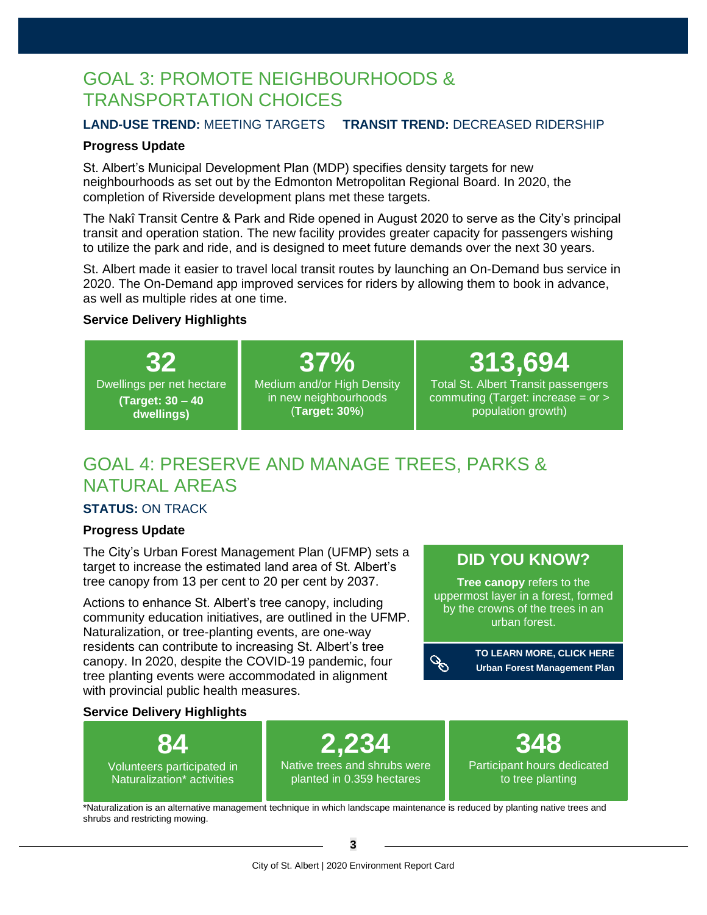### GOAL 3: PROMOTE NEIGHBOURHOODS & TRANSPORTATION CHOICES

#### **LAND-USE TREND:** MEETING TARGETS **TRANSIT TREND:** DECREASED RIDERSHIP

#### **Progress Update**

St. Albert's Municipal Development Plan (MDP) specifies density targets for new neighbourhoods as set out by the Edmonton Metropolitan Regional Board. In 2020, the completion of Riverside development plans met these targets.

The Nakî Transit Centre & Park and Ride opened in August 2020 to serve as the City's principal transit and operation station. The new facility provides greater capacity for passengers wishing to utilize the park and ride, and is designed to meet future demands over the next 30 years.

St. Albert made it easier to travel local transit routes by launching an On-Demand bus service in 2020. The On-Demand app improved services for riders by allowing them to book in advance, as well as multiple rides at one time.

#### **Service Delivery Highlights**

**32** Dwellings per net hectare **(Target: 30 – 40 dwellings)**

**37%** Medium and/or High Density in new neighbourhoods (**Target: 30%**)

**313,694**

Total St. Albert Transit passengers commuting (Target: increase = or > population growth)

### GOAL 4: PRESERVE AND MANAGE TREES, PARKS & NATURAL AREAS

#### **STATUS:** ON TRACK

#### **Progress Update**

The City's Urban Forest Management Plan (UFMP) sets a target to increase the estimated land area of St. Albert's tree canopy from 13 per cent to 20 per cent by 2037.

Actions to enhance St. Albert's tree canopy, including community education initiatives, are outlined in the UFMP. Naturalization, or tree-planting events, are one-way residents can contribute to increasing St. Albert's tree canopy. In 2020, despite the COVID-19 pandemic, four tree planting events were accommodated in alignment with provincial public health measures.

### **[DID YOU KNOW?](https://stalbert.ca/site/assets/files/3778/stalbert-urban-forest-management-plan_june-26-2017_1.pdf)**

**Tree canopy** refers to the uppermost layer in a forest, formed by the crowns of the trees in an urban forest.

**[TO LEARN MORE, CLICK HERE](https://treecitiesoftheworld.org/standards.cfm)**  $\mathscr{E}$ **Urban Forest Management Plan**

#### **Service Delivery Highlights**



\*Naturalization is an alternative management technique in which landscape maintenance is reduced by planting native trees and shrubs and restricting mowing.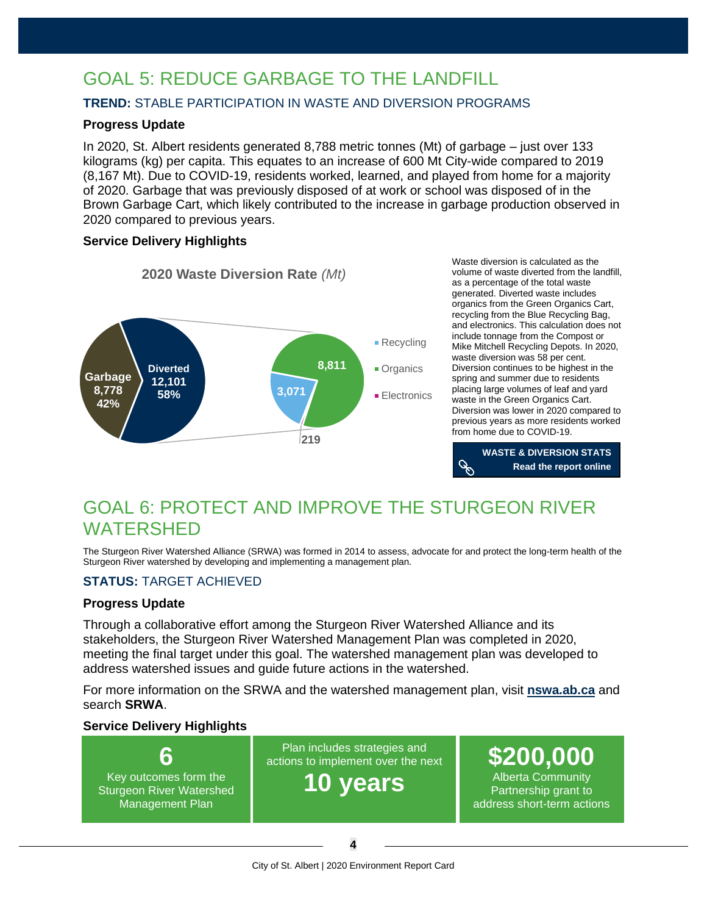# GOAL 5: REDUCE GARBAGE TO THE LANDFILL

#### **TREND:** STABLE PARTICIPATION IN WASTE AND DIVERSION PROGRAMS

#### **Progress Update**

In 2020, St. Albert residents generated 8,788 metric tonnes (Mt) of garbage – just over 133 kilograms (kg) per capita. This equates to an increase of 600 Mt City-wide compared to 2019 (8,167 Mt). Due to COVID-19, residents worked, learned, and played from home for a majority of 2020. Garbage that was previously disposed of at work or school was disposed of in the Brown Garbage Cart, which likely contributed to the increase in garbage production observed in 2020 compared to previous years.

#### **Service Delivery Highlights**



Waste diversion is calculated as the volume of waste diverted from the landfill, as a percentage of the total waste generated. Diverted waste includes organics from the Green Organics Cart, recycling from the Blue Recycling Bag, and electronics. This calculation does not include tonnage from the Compost or Mike Mitchell Recycling Depots. In 2020, waste diversion was 58 per cent. Diversion continues to be highest in the spring and summer due to residents placing large volumes of leaf and yard waste in the Green Organics Cart. Diversion was lower in 2020 compared to previous years as more residents worked from home due to COVID-19.



### GOAL 6: PROTECT AND IMPROVE THE STURGEON RIVER WATERSHED

The Sturgeon River Watershed Alliance (SRWA) was formed in 2014 to assess, advocate for and protect the long-term health of the Sturgeon River watershed by developing and implementing a management plan.

#### **STATUS:** TARGET ACHIEVED

#### **Progress Update**

Through a collaborative effort among the Sturgeon River Watershed Alliance and its stakeholders, the Sturgeon River Watershed Management Plan was completed in 2020, meeting the final target under this goal. The watershed management plan was developed to address watershed issues and guide future actions in the watershed.

For more information on the SRWA and the watershed management plan, visit **[nswa.ab.ca](https://www.nswa.ab.ca/)** and search **SRWA**.

#### **Service Delivery Highlights**

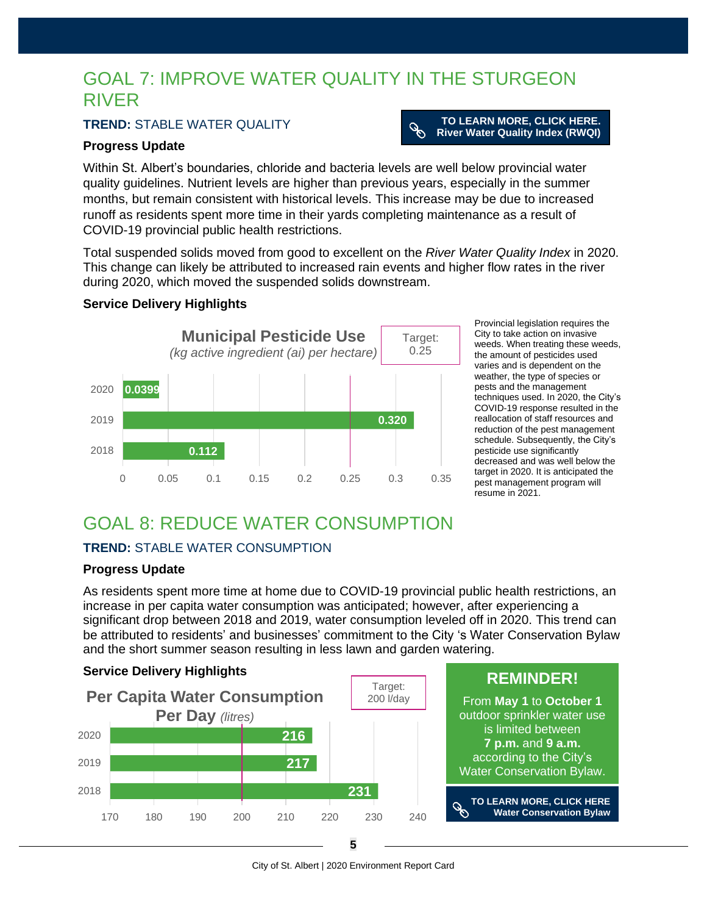### GOAL 7: IMPROVE WATER QUALITY IN THE STURGEON RIVER

#### **TREND:** STABLE WATER QUALITY

#### **Progress Update**

Within St. Albert's boundaries, chloride and bacteria levels are well below provincial water quality guidelines. Nutrient levels are higher than previous years, especially in the summer months, but remain consistent with historical levels. This increase may be due to increased runoff as residents spent more time in their yards completing maintenance as a result of

 $\mathscr{E}$ 

COVID-19 provincial public health restrictions.

Total suspended solids moved from good to excellent on the *River Water Quality Index* in 2020. This change can likely be attributed to increased rain events and higher flow rates in the river during 2020, which moved the suspended solids downstream.

#### **Service Delivery Highlights**



Provincial legislation requires the City to take action on invasive weeds. When treating these weeds, the amount of pesticides used varies and is dependent on the weather, the type of species or pests and the management techniques used. In 2020, the City's COVID-19 response resulted in the reallocation of staff resources and reduction of the pest management schedule. Subsequently, the City's pesticide use significantly decreased and was well below the target in 2020. It is anticipated the pest management program will resume in 2021.

**TO LEARN MORE, CLICK HERE. [River Water Quality Index \(RWQI\)](https://stalbert.ca/city/environment/sturgeon-river/get-to-know/)**

### GOAL 8: REDUCE WATER CONSUMPTION

#### **TREND:** STABLE WATER CONSUMPTION

#### **Progress Update**

As residents spent more time at home due to COVID-19 provincial public health restrictions, an increase in per capita water consumption was anticipated; however, after experiencing a significant drop between 2018 and 2019, water consumption leveled off in 2020. This trend can be attributed to residents' and businesses' commitment to the City 's Water Conservation Bylaw and the short summer season resulting in less lawn and garden watering.



City of St. Albert | 2020 Environment Report Card